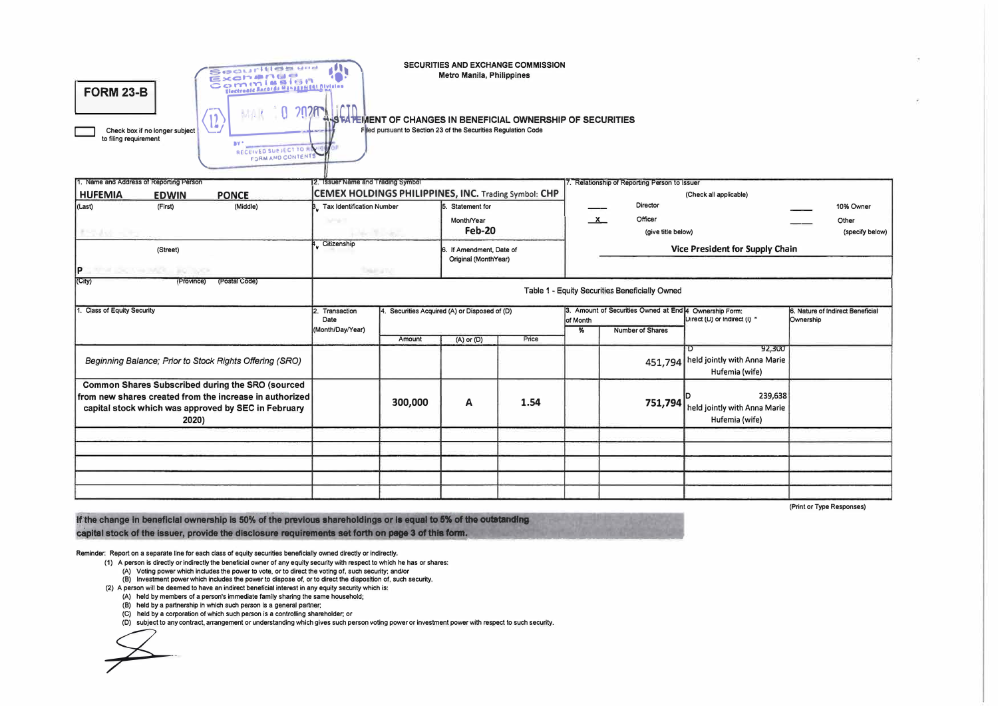|                                                         | Securities and<br>Exemplose<br>Commission                                 | SECURITIES AND EXCHANGE COMMISSION<br>Metro Manila, Philippines |
|---------------------------------------------------------|---------------------------------------------------------------------------|-----------------------------------------------------------------|
| <b>FORM 23-B</b>                                        | Blectronic Records Management Division<br>$-$                             |                                                                 |
| Check box if no longer subject<br>to filing requirement | -1.40<br><b>BY</b><br>RECEIVED SUBJECT TO HIS<br><b>FORM AND CONTENTS</b> | Filed pursuant to Section 23 of the Securities Regulation Code  |

| 1. Name and Address of Reporting Person                                                                                                                                            | 2. Issuer Name and Trading Symbol                    |                                     |                                                  |              |                               | Relationship of Reporting Person to Issuer                                                          |                                                           |                                  |  |
|------------------------------------------------------------------------------------------------------------------------------------------------------------------------------------|------------------------------------------------------|-------------------------------------|--------------------------------------------------|--------------|-------------------------------|-----------------------------------------------------------------------------------------------------|-----------------------------------------------------------|----------------------------------|--|
| <b>HUFEMIA</b><br><b>PONCE</b><br><b>EDWIN</b>                                                                                                                                     | CEMEX HOLDINGS PHILIPPINES, INC. Trading Symbol: CHP |                                     |                                                  |              |                               |                                                                                                     | (Check all applicable)                                    |                                  |  |
| (Middle)<br>(Last)<br>(First)                                                                                                                                                      | <b>Tax Identification Number</b>                     | 5. Statement for                    |                                                  |              | Director                      |                                                                                                     | 10% Owner                                                 |                                  |  |
| おやありった                                                                                                                                                                             | <b>Market</b>                                        | Month/Year<br>Feb-20<br>selections. |                                                  | $\mathbf{x}$ | Officer<br>(give title below) |                                                                                                     | Other<br>(specify below)                                  |                                  |  |
| (Street)                                                                                                                                                                           | Citizenship                                          |                                     | 6. If Amendment, Date of<br>Original (MonthYear) |              |                               | Vice President for Supply Chain                                                                     |                                                           |                                  |  |
| P<br>THE LOCAL MARKET BRUNCH                                                                                                                                                       |                                                      | Dear and                            |                                                  |              |                               |                                                                                                     |                                                           |                                  |  |
| (City)<br>(Province)<br>(Postal Code)                                                                                                                                              |                                                      |                                     |                                                  |              |                               | Table 1 - Equity Securities Beneficially Owned                                                      |                                                           |                                  |  |
| <b>Class of Equity Security</b>                                                                                                                                                    | 2. Transaction<br>Date                               |                                     | 4. Securities Acquired (A) or Disposed of (D)    |              | of Month                      | 3. Amount of Securities Owned at End 4 Ownership Form:<br>Direct (D) or Indirect (I) *<br>Ownership |                                                           | 6. Nature of Indirect Beneficial |  |
|                                                                                                                                                                                    | (Month/Day/Year)                                     |                                     |                                                  |              | %                             | Number of Shares                                                                                    |                                                           |                                  |  |
|                                                                                                                                                                                    |                                                      | Amount                              | (A) or (D)                                       | Price        |                               |                                                                                                     | 92,300<br>$\overline{D}$                                  |                                  |  |
| Beginning Balance; Prior to Stock Rights Offering (SRO)                                                                                                                            |                                                      |                                     |                                                  |              |                               |                                                                                                     | 451,794 held jointly with Anna Marie<br>Hufemia (wife)    |                                  |  |
| <b>Common Shares Subscribed during the SRO (sourced</b><br>from new shares created from the increase in authorized<br>capital stock which was approved by SEC in February<br>2020) |                                                      | 300,000                             | Α                                                | 1.54         |                               | 751,794                                                                                             | 239,638<br>held jointly with Anna Marie<br>Hufemia (wife) |                                  |  |
|                                                                                                                                                                                    |                                                      |                                     |                                                  |              |                               |                                                                                                     |                                                           |                                  |  |
|                                                                                                                                                                                    |                                                      |                                     |                                                  |              |                               |                                                                                                     |                                                           |                                  |  |
|                                                                                                                                                                                    |                                                      |                                     |                                                  |              |                               |                                                                                                     |                                                           |                                  |  |

(Print or Type Responses)

If the change in beneficial ownership is 50% of the previous shareholdings or is equal to 5% of the outstanding capital stock of the issuer, provide the disclosure requirements set forth on page 3 of this form.

Reminder: Report on a separate line for each class of equity securities beneficially owned directly or indirectly.

(1) A person is directly or indirectly the beneficial owner of any equity security with respect to which he has or shares:

(A) Voting power which includes the power to vote, or to direct the voting of, such security; and/or

(B) Investment power which includes the power to dispose of, or to direct the disposition of, such security.

(2) A person will be deemed to have an indirect beneficial interest in any equity security which is:

(A) held by members of a person's immediate family sharing the same household;

(B) held by a partnership in which such person is a general partner;

(C) held by a corporation of which such person is a controlling shareholder; or

(D) subject to any contract, arrangement or understanding which gives such person voting power or investment power with respect to such security.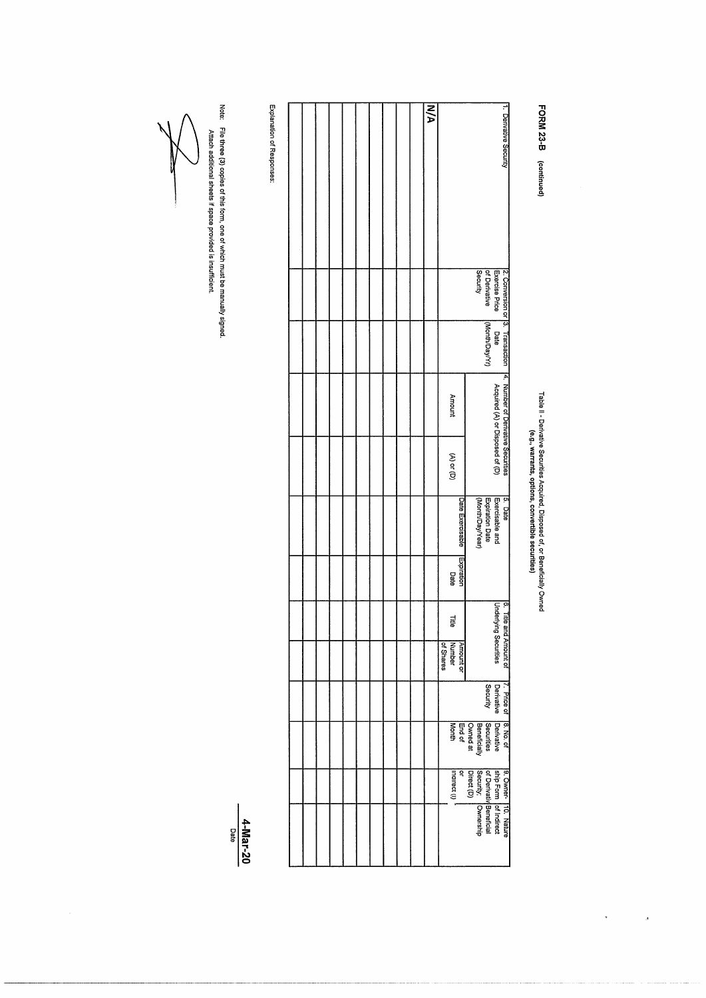FORM 23-B (continued)

## Table II - Deńvative Securties Acquired, Disposed of, or Beneficially Owned<br>Table II - Deńvative Securties, options, convertible securtites)

 $\overline{a}$ 

| 1. Derivative Security<br>N/A                                                                                     |  |  |  |  |  |  |
|-------------------------------------------------------------------------------------------------------------------|--|--|--|--|--|--|
| Exercise Price<br>Security<br>of Derivative                                                                       |  |  |  |  |  |  |
| $[2.$ Conversion or $[3.$ Transaction $\,$ $\,$ 4. Number of Derivative Securities<br>(honth/Day/Yr)<br>Date      |  |  |  |  |  |  |
| Acquired (A) or Disposed of (D)<br><b>Amount</b>                                                                  |  |  |  |  |  |  |
| $(A)$ or $(D)$                                                                                                    |  |  |  |  |  |  |
| Exercisable and<br>5. Date<br>Expiration Date<br>(Month/Day/Year)<br>Date Exercisable                             |  |  |  |  |  |  |
| Expiration<br>Date                                                                                                |  |  |  |  |  |  |
| Underlying Securities<br>6. Title and Amount of<br><b>Title</b>                                                   |  |  |  |  |  |  |
| of Shares<br>Amount or<br>Number                                                                                  |  |  |  |  |  |  |
| Derivative Derivative<br>Security<br>7. Price of 8. No. of                                                        |  |  |  |  |  |  |
| Securities<br>Beneficially<br>Owned at<br>End of<br>Month                                                         |  |  |  |  |  |  |
| $\frac{1}{1}$ (i) connect (i) $\frac{1}{1}$<br>g                                                                  |  |  |  |  |  |  |
| 9. Owner-   10. Nature<br>  ship Form   of Indirect<br>  of Derivativ Benerficial<br>  Girect (D)<br>  Direct (D) |  |  |  |  |  |  |
|                                                                                                                   |  |  |  |  |  |  |

Explanation of Responses:

Note: File **three (3)** copies of this form, one of which must be manually signed.<br>Attach additional sheets if space provided is insufficient.

 $\frac{4-\text{Mar}-20}{\text{Date}}$ 

 $\hat{\mathcal{A}}$